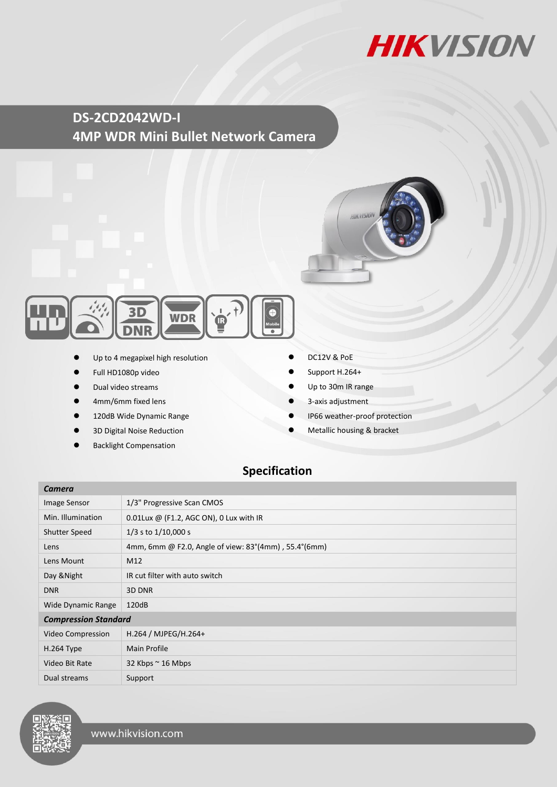

**DS-2CD2042WD-I 4MP WDR Mini Bullet Network Camera**





- Up to 4 megapixel high resolution
- Full HD1080p video
- Dual video streams
- 4mm/6mm fixed lens
- 120dB Wide Dynamic Range
- 3D Digital Noise Reduction
- Backlight Compensation
- DC12V & PoE
- Support H.264+
- Up to 30m IR range
- 3-axis adjustment
- IP66 weather-proof protection
- Metallic housing & bracket

## **Specification**

| Camera                      |                                                                          |
|-----------------------------|--------------------------------------------------------------------------|
| Image Sensor                | 1/3" Progressive Scan CMOS                                               |
| Min. Illumination           | 0.01Lux @ (F1.2, AGC ON), 0 Lux with IR                                  |
| <b>Shutter Speed</b>        | $1/3$ s to $1/10,000$ s                                                  |
| Lens                        | 4mm, 6mm @ F2.0, Angle of view: $83^{\circ}(4mm)$ , 55.4 $^{\circ}(6mm)$ |
| Lens Mount                  | M12                                                                      |
| Day & Night                 | IR cut filter with auto switch                                           |
| <b>DNR</b>                  | 3D DNR                                                                   |
| Wide Dynamic Range          | 120dB                                                                    |
| <b>Compression Standard</b> |                                                                          |
| Video Compression           | H.264 / MJPEG/H.264+                                                     |
| $H.264$ Type                | <b>Main Profile</b>                                                      |
| Video Bit Rate              | 32 Kbps $\sim$ 16 Mbps                                                   |
| Dual streams                | Support                                                                  |